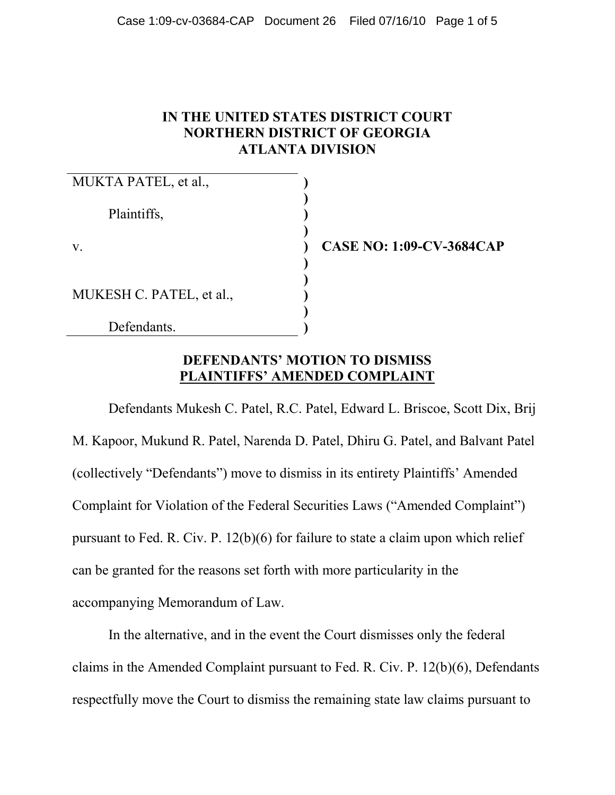### **IN THE UNITED STATES DISTRICT COURT NORTHERN DISTRICT OF GEORGIA ATLANTA DIVISION**

| MUKTA PATEL, et al.,     |               |
|--------------------------|---------------|
| Plaintiffs,              |               |
| V.                       | <b>CASE N</b> |
| MUKESH C. PATEL, et al., |               |
| Defendants.              |               |

**O: 1:09-CV-3684CAP** 

#### **DEFENDANTS' MOTION TO DISMISS PLAINTIFFS' AMENDED COMPLAINT**

Defendants Mukesh C. Patel, R.C. Patel, Edward L. Briscoe, Scott Dix, Brij M. Kapoor, Mukund R. Patel, Narenda D. Patel, Dhiru G. Patel, and Balvant Patel (collectively "Defendants") move to dismiss in its entirety Plaintiffs' Amended Complaint for Violation of the Federal Securities Laws ("Amended Complaint") pursuant to Fed. R. Civ. P. 12(b)(6) for failure to state a claim upon which relief can be granted for the reasons set forth with more particularity in the accompanying Memorandum of Law.

In the alternative, and in the event the Court dismisses only the federal claims in the Amended Complaint pursuant to Fed. R. Civ. P. 12(b)(6), Defendants respectfully move the Court to dismiss the remaining state law claims pursuant to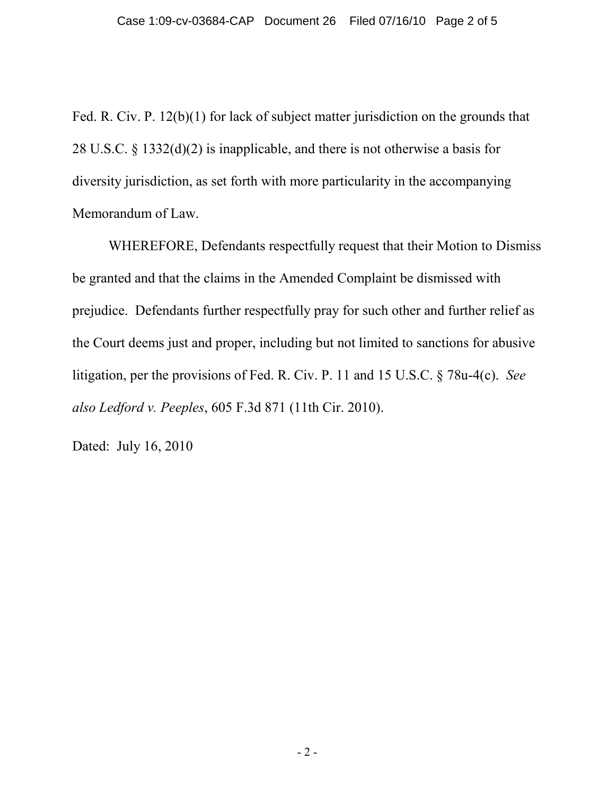Fed. R. Civ. P. 12(b)(1) for lack of subject matter jurisdiction on the grounds that 28 U.S.C. § 1332(d)(2) is inapplicable, and there is not otherwise a basis for diversity jurisdiction, as set forth with more particularity in the accompanying Memorandum of Law.

WHEREFORE, Defendants respectfully request that their Motion to Dismiss be granted and that the claims in the Amended Complaint be dismissed with prejudice. Defendants further respectfully pray for such other and further relief as the Court deems just and proper, including but not limited to sanctions for abusive litigation, per the provisions of Fed. R. Civ. P. 11 and 15 U.S.C. § 78u-4(c). *See also Ledford v. Peeples*, 605 F.3d 871 (11th Cir. 2010).

Dated: July 16, 2010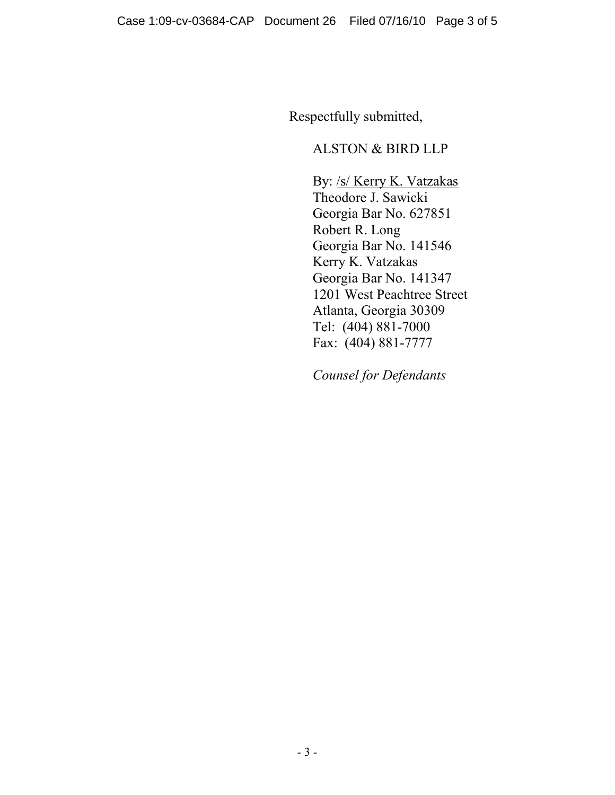Respectfully submitted,

### ALSTON & BIRD LLP

By: /s/ Kerry K. Vatzakas Theodore J. Sawicki Georgia Bar No. 627851 Robert R. Long Georgia Bar No. 141546 Kerry K. Vatzakas Georgia Bar No. 141347 1201 West Peachtree Street Atlanta, Georgia 30309 Tel: (404) 881-7000 Fax: (404) 881-7777

*Counsel for Defendants*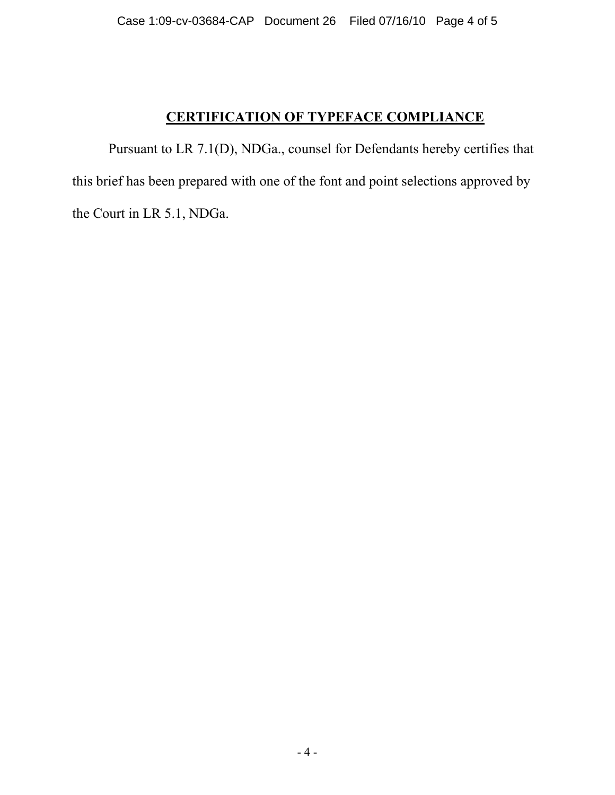## **CERTIFICATION OF TYPEFACE COMPLIANCE**

Pursuant to LR 7.1(D), NDGa., counsel for Defendants hereby certifies that this brief has been prepared with one of the font and point selections approved by the Court in LR 5.1, NDGa.